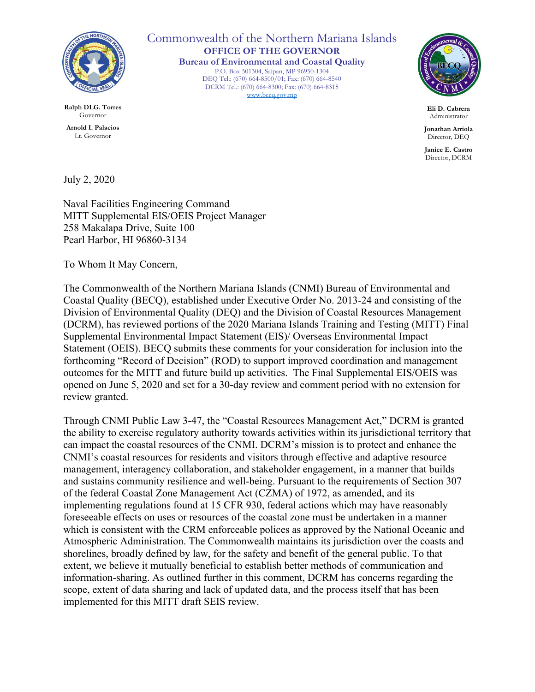

**Ralph DLG. Torres** Governor

**Arnold I. Palacios** Lt. Governor

Commonwealth of the Northern Mariana Islands **OFFICE OF THE GOVERNOR Bureau of Environmental and Coastal Quality** P.O. Box 501304, Saipan, MP 96950-1304 DEQ Tel.: (670) 664-8500/01; Fax: (670) 664-8540 DCRM Tel.: (670) 664-8300; Fax: (670) 664-8315 www.becq.gov.mp



**Eli D. Cabrera** Administrator

**Jonathan Arriola**  Director, DEQ

**Janice E. Castro** Director, DCRM

July 2, 2020

Naval Facilities Engineering Command MITT Supplemental EIS/OEIS Project Manager 258 Makalapa Drive, Suite 100 Pearl Harbor, HI 96860-3134

To Whom It May Concern,

The Commonwealth of the Northern Mariana Islands (CNMI) Bureau of Environmental and Coastal Quality (BECQ), established under Executive Order No. 2013-24 and consisting of the Division of Environmental Quality (DEQ) and the Division of Coastal Resources Management (DCRM), has reviewed portions of the 2020 Mariana Islands Training and Testing (MITT) Final Supplemental Environmental Impact Statement (EIS)/ Overseas Environmental Impact Statement (OEIS). BECQ submits these comments for your consideration for inclusion into the forthcoming "Record of Decision" (ROD) to support improved coordination and management outcomes for the MITT and future build up activities. The Final Supplemental EIS/OEIS was opened on June 5, 2020 and set for a 30-day review and comment period with no extension for review granted.

Through CNMI Public Law 3-47, the "Coastal Resources Management Act," DCRM is granted the ability to exercise regulatory authority towards activities within its jurisdictional territory that can impact the coastal resources of the CNMI. DCRM's mission is to protect and enhance the CNMI's coastal resources for residents and visitors through effective and adaptive resource management, interagency collaboration, and stakeholder engagement, in a manner that builds and sustains community resilience and well-being. Pursuant to the requirements of Section 307 of the federal Coastal Zone Management Act (CZMA) of 1972, as amended, and its implementing regulations found at 15 CFR 930, federal actions which may have reasonably foreseeable effects on uses or resources of the coastal zone must be undertaken in a manner which is consistent with the CRM enforceable polices as approved by the National Oceanic and Atmospheric Administration. The Commonwealth maintains its jurisdiction over the coasts and shorelines, broadly defined by law, for the safety and benefit of the general public. To that extent, we believe it mutually beneficial to establish better methods of communication and information-sharing. As outlined further in this comment, DCRM has concerns regarding the scope, extent of data sharing and lack of updated data, and the process itself that has been implemented for this MITT draft SEIS review.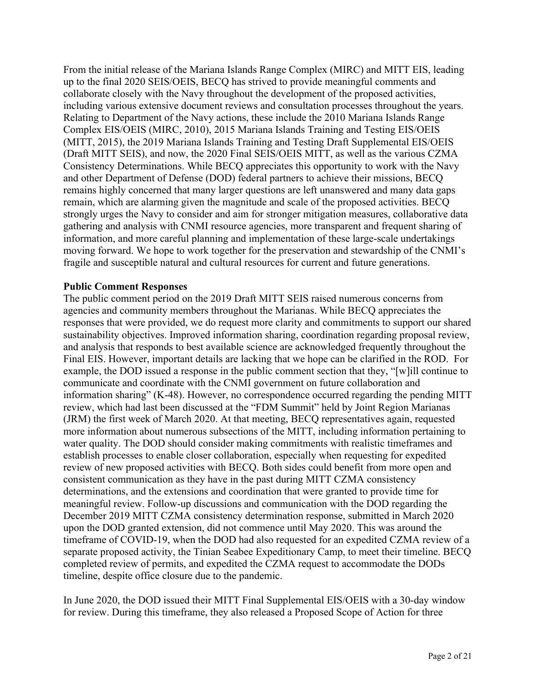From the initial release of the Mariana Islands Range Complex (MIRC) and MITT EIS, leading up to the final 2020 SEIS/OEIS, BECQ has strived to provide meaningful comments and collaborate closely with the Navy throughout the development of the proposed activities, including various extensive document reviews and consultation processes throughout the years. Relating to Department of the Navy actions, these include the 2010 Mariana Islands Range Complex EIS/OEIS (MIRC, 2010), 2015 Mariana Islands Training and Testing EIS/OEIS (MITT, 2015), the 2019 Mariana Islands Training and Testing Draft Supplemental EIS/OEIS (Draft MITT SEIS), and now, the 2020 Final SEIS/OEIS MITT, as well as the various CZMA Consistency Determinations. While BECQ appreciates this opportunity to work with the Navy and other Department of Defense (DOD) federal partners to achieve their missions, BECQ remains highly concerned that many larger questions are left unanswered and many data gaps remain, which are alarming given the magnitude and scale of the proposed activities. BECQ strongly urges the Navy to consider and aim for stronger mitigation measures, collaborative data gathering and analysis with CNMI resource agencies, more transparent and frequent sharing of information, and more careful planning and implementation of these large-scale undertakings moving forward. We hope to work together for the preservation and stewardship of the CNMI's fragile and susceptible natural and cultural resources for current and future generations.

#### **Public Comment Responses**

The public comment period on the 2019 Draft MITT SEIS raised numerous concerns from agencies and community members throughout the Marianas. While BECQ appreciates the responses that were provided, we do request more clarity and commitments to support our shared sustainability objectives. Improved information sharing, coordination regarding proposal review, and analysis that responds to best available science are acknowledged frequently throughout the Final EIS. However, important details are lacking that we hope can be clarified in the ROD. For example, the DOD issued a response in the public comment section that they, "[w]ill continue to communicate and coordinate with the CNMI government on future collaboration and information sharing" (K-48). However, no correspondence occurred regarding the pending MITT review, which had last been discussed at the "FDM Summit" held by Joint Region Marianas (JRM) the first week of March 2020. At that meeting, BECQ representatives again, requested more information about numerous subsections of the MITT, including information pertaining to water quality. The DOD should consider making commitments with realistic timeframes and establish processes to enable closer collaboration, especially when requesting for expedited review of new proposed activities with BECQ. Both sides could benefit from more open and consistent communication as they have in the past during MITT CZMA consistency determinations, and the extensions and coordination that were granted to provide time for meaningful review. Follow-up discussions and communication with the DOD regarding the December 2019 MITT CZMA consistency determination response, submitted in March 2020 upon the DOD granted extension, did not commence until May 2020. This was around the timeframe of COVID-19, when the DOD had also requested for an expedited CZMA review of a separate proposed activity, the Tinian Seabee Expeditionary Camp, to meet their timeline. BECQ completed review of permits, and expedited the CZMA request to accommodate the DODs timeline, despite office closure due to the pandemic.

In June 2020, the DOD issued their MITT Final Supplemental EIS/OEIS with a 30-day window for review. During this timeframe, they also released a Proposed Scope of Action for three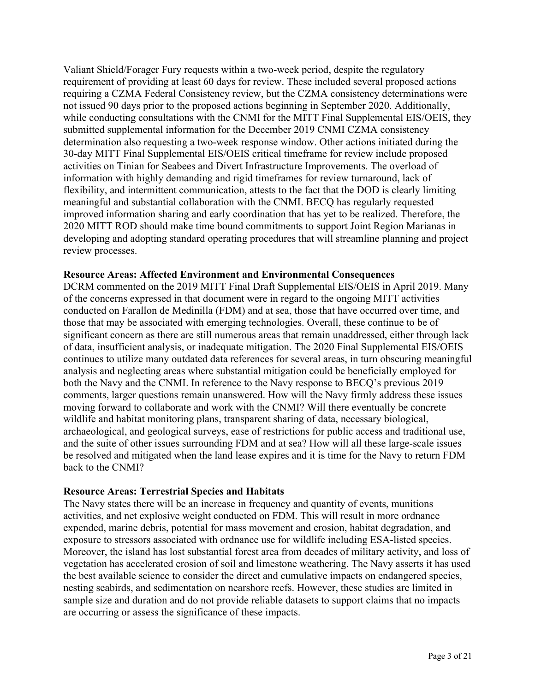Valiant Shield/Forager Fury requests within a two-week period, despite the regulatory requirement of providing at least 60 days for review. These included several proposed actions requiring a CZMA Federal Consistency review, but the CZMA consistency determinations were not issued 90 days prior to the proposed actions beginning in September 2020. Additionally, while conducting consultations with the CNMI for the MITT Final Supplemental EIS/OEIS, they submitted supplemental information for the December 2019 CNMI CZMA consistency determination also requesting a two-week response window. Other actions initiated during the 30-day MITT Final Supplemental EIS/OEIS critical timeframe for review include proposed activities on Tinian for Seabees and Divert Infrastructure Improvements. The overload of information with highly demanding and rigid timeframes for review turnaround, lack of flexibility, and intermittent communication, attests to the fact that the DOD is clearly limiting meaningful and substantial collaboration with the CNMI. BECQ has regularly requested improved information sharing and early coordination that has yet to be realized. Therefore, the 2020 MITT ROD should make time bound commitments to support Joint Region Marianas in developing and adopting standard operating procedures that will streamline planning and project review processes.

#### **Resource Areas: Affected Environment and Environmental Consequences**

DCRM commented on the 2019 MITT Final Draft Supplemental EIS/OEIS in April 2019. Many of the concerns expressed in that document were in regard to the ongoing MITT activities conducted on Farallon de Medinilla (FDM) and at sea, those that have occurred over time, and those that may be associated with emerging technologies. Overall, these continue to be of significant concern as there are still numerous areas that remain unaddressed, either through lack of data, insufficient analysis, or inadequate mitigation. The 2020 Final Supplemental EIS/OEIS continues to utilize many outdated data references for several areas, in turn obscuring meaningful analysis and neglecting areas where substantial mitigation could be beneficially employed for both the Navy and the CNMI. In reference to the Navy response to BECQ's previous 2019 comments, larger questions remain unanswered. How will the Navy firmly address these issues moving forward to collaborate and work with the CNMI? Will there eventually be concrete wildlife and habitat monitoring plans, transparent sharing of data, necessary biological, archaeological, and geological surveys, ease of restrictions for public access and traditional use, and the suite of other issues surrounding FDM and at sea? How will all these large-scale issues be resolved and mitigated when the land lease expires and it is time for the Navy to return FDM back to the CNMI?

#### **Resource Areas: Terrestrial Species and Habitats**

The Navy states there will be an increase in frequency and quantity of events, munitions activities, and net explosive weight conducted on FDM. This will result in more ordnance expended, marine debris, potential for mass movement and erosion, habitat degradation, and exposure to stressors associated with ordnance use for wildlife including ESA-listed species. Moreover, the island has lost substantial forest area from decades of military activity, and loss of vegetation has accelerated erosion of soil and limestone weathering. The Navy asserts it has used the best available science to consider the direct and cumulative impacts on endangered species, nesting seabirds, and sedimentation on nearshore reefs. However, these studies are limited in sample size and duration and do not provide reliable datasets to support claims that no impacts are occurring or assess the significance of these impacts.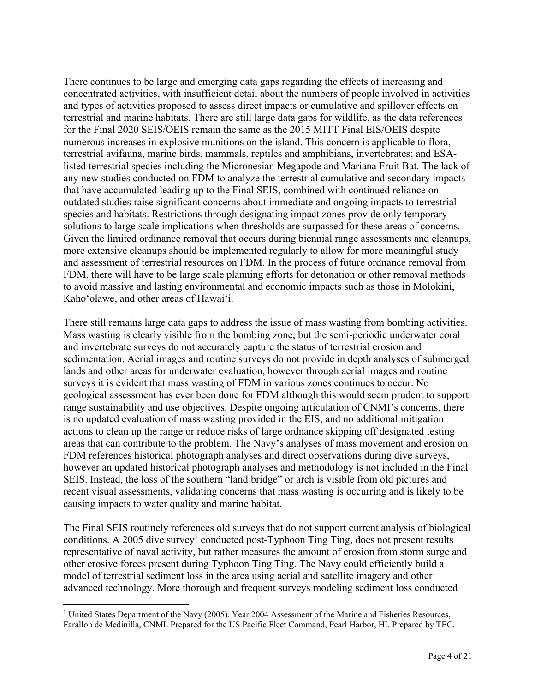There continues to be large and emerging data gaps regarding the effects of increasing and concentrated activities, with insufficient detail about the numbers of people involved in activities and types of activities proposed to assess direct impacts or cumulative and spillover effects on terrestrial and marine habitats. There are still large data gaps for wildlife, as the data references for the Final 2020 SEIS/OEIS remain the same as the 2015 MITT Final EIS/OEIS despite numerous increases in explosive munitions on the island. This concern is applicable to flora, terrestrial avifauna, marine birds, mammals, reptiles and amphibians, invertebrates; and ESAlisted terrestrial species including the Micronesian Megapode and Mariana Fruit Bat. The lack of any new studies conducted on FDM to analyze the terrestrial cumulative and secondary impacts that have accumulated leading up to the Final SEIS, combined with continued reliance on outdated studies raise significant concerns about immediate and ongoing impacts to terrestrial species and habitats. Restrictions through designating impact zones provide only temporary solutions to large scale implications when thresholds are surpassed for these areas of concerns. Given the limited ordinance removal that occurs during biennial range assessments and cleanups, more extensive cleanups should be implemented regularly to allow for more meaningful study and assessment of terrestrial resources on FDM. In the process of future ordnance removal from FDM, there will have to be large scale planning efforts for detonation or other removal methods to avoid massive and lasting environmental and economic impacts such as those in Molokini, Kahoʻolawe, and other areas of Hawaiʻi.

There still remains large data gaps to address the issue of mass wasting from bombing activities. Mass wasting is clearly visible from the bombing zone, but the semi-periodic underwater coral and invertebrate surveys do not accurately capture the status of terrestrial erosion and sedimentation. Aerial images and routine surveys do not provide in depth analyses of submerged lands and other areas for underwater evaluation, however through aerial images and routine surveys it is evident that mass wasting of FDM in various zones continues to occur. No geological assessment has ever been done for FDM although this would seem prudent to support range sustainability and use objectives. Despite ongoing articulation of CNMI's concerns, there is no updated evaluation of mass wasting provided in the EIS, and no additional mitigation actions to clean up the range or reduce risks of large ordnance skipping off designated testing areas that can contribute to the problem. The Navy's analyses of mass movement and erosion on FDM references historical photograph analyses and direct observations during dive surveys, however an updated historical photograph analyses and methodology is not included in the Final SEIS. Instead, the loss of the southern "land bridge" or arch is visible from old pictures and recent visual assessments, validating concerns that mass wasting is occurring and is likely to be causing impacts to water quality and marine habitat.

The Final SEIS routinely references old surveys that do not support current analysis of biological conditions. A 2005 dive survey<sup>1</sup> conducted post-Typhoon Ting Ting, does not present results representative of naval activity, but rather measures the amount of erosion from storm surge and other erosive forces present during Typhoon Ting Ting. The Navy could efficiently build a model of terrestrial sediment loss in the area using aerial and satellite imagery and other advanced technology. More thorough and frequent surveys modeling sediment loss conducted

<sup>&</sup>lt;sup>1</sup> United States Department of the Navy (2005). Year 2004 Assessment of the Marine and Fisheries Resources, Farallon de Medinilla, CNMI. Prepared for the US Pacific Fleet Command, Pearl Harbor, HI. Prepared by TEC.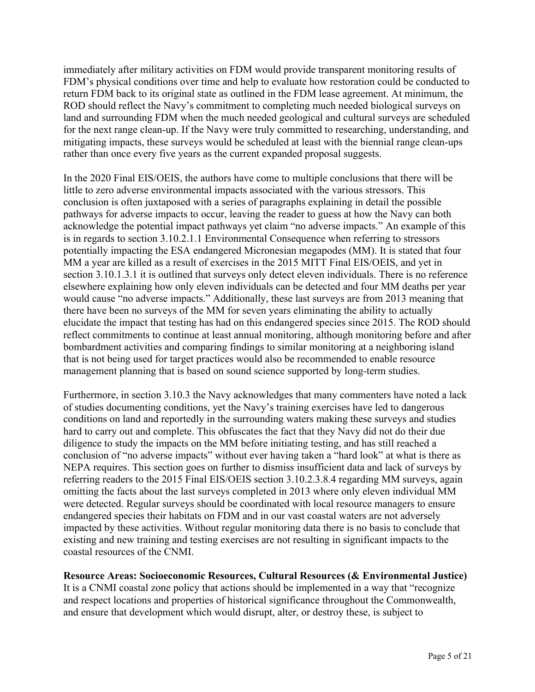immediately after military activities on FDM would provide transparent monitoring results of FDM's physical conditions over time and help to evaluate how restoration could be conducted to return FDM back to its original state as outlined in the FDM lease agreement. At minimum, the ROD should reflect the Navy's commitment to completing much needed biological surveys on land and surrounding FDM when the much needed geological and cultural surveys are scheduled for the next range clean-up. If the Navy were truly committed to researching, understanding, and mitigating impacts, these surveys would be scheduled at least with the biennial range clean-ups rather than once every five years as the current expanded proposal suggests.

In the 2020 Final EIS/OEIS, the authors have come to multiple conclusions that there will be little to zero adverse environmental impacts associated with the various stressors. This conclusion is often juxtaposed with a series of paragraphs explaining in detail the possible pathways for adverse impacts to occur, leaving the reader to guess at how the Navy can both acknowledge the potential impact pathways yet claim "no adverse impacts." An example of this is in regards to section 3.10.2.1.1 Environmental Consequence when referring to stressors potentially impacting the ESA endangered Micronesian megapodes (MM). It is stated that four MM a year are killed as a result of exercises in the 2015 MITT Final EIS/OEIS, and yet in section 3.10.1.3.1 it is outlined that surveys only detect eleven individuals. There is no reference elsewhere explaining how only eleven individuals can be detected and four MM deaths per year would cause "no adverse impacts." Additionally, these last surveys are from 2013 meaning that there have been no surveys of the MM for seven years eliminating the ability to actually elucidate the impact that testing has had on this endangered species since 2015. The ROD should reflect commitments to continue at least annual monitoring, although monitoring before and after bombardment activities and comparing findings to similar monitoring at a neighboring island that is not being used for target practices would also be recommended to enable resource management planning that is based on sound science supported by long-term studies.

Furthermore, in section 3.10.3 the Navy acknowledges that many commenters have noted a lack of studies documenting conditions, yet the Navy's training exercises have led to dangerous conditions on land and reportedly in the surrounding waters making these surveys and studies hard to carry out and complete. This obfuscates the fact that they Navy did not do their due diligence to study the impacts on the MM before initiating testing, and has still reached a conclusion of "no adverse impacts" without ever having taken a "hard look" at what is there as NEPA requires. This section goes on further to dismiss insufficient data and lack of surveys by referring readers to the 2015 Final EIS/OEIS section 3.10.2.3.8.4 regarding MM surveys, again omitting the facts about the last surveys completed in 2013 where only eleven individual MM were detected. Regular surveys should be coordinated with local resource managers to ensure endangered species their habitats on FDM and in our vast coastal waters are not adversely impacted by these activities. Without regular monitoring data there is no basis to conclude that existing and new training and testing exercises are not resulting in significant impacts to the coastal resources of the CNMI.

**Resource Areas: Socioeconomic Resources, Cultural Resources (& Environmental Justice)** It is a CNMI coastal zone policy that actions should be implemented in a way that "recognize and respect locations and properties of historical significance throughout the Commonwealth, and ensure that development which would disrupt, alter, or destroy these, is subject to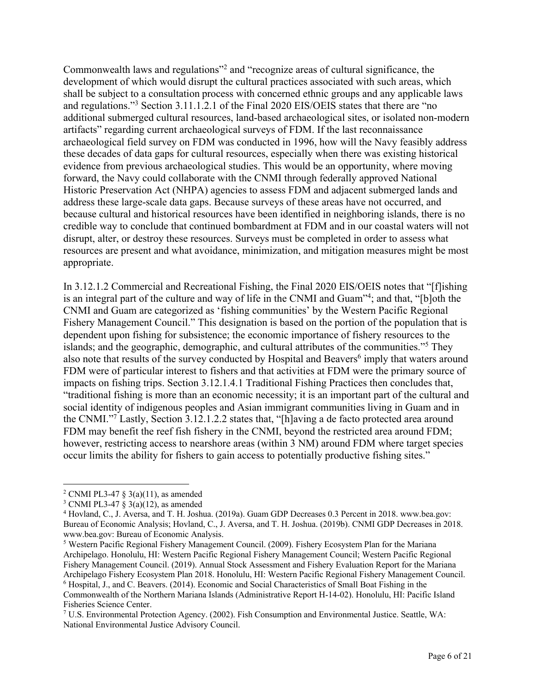Commonwealth laws and regulations"2 and "recognize areas of cultural significance, the development of which would disrupt the cultural practices associated with such areas, which shall be subject to a consultation process with concerned ethnic groups and any applicable laws and regulations."3 Section 3.11.1.2.1 of the Final 2020 EIS/OEIS states that there are "no additional submerged cultural resources, land-based archaeological sites, or isolated non-modern artifacts" regarding current archaeological surveys of FDM. If the last reconnaissance archaeological field survey on FDM was conducted in 1996, how will the Navy feasibly address these decades of data gaps for cultural resources, especially when there was existing historical evidence from previous archaeological studies. This would be an opportunity, where moving forward, the Navy could collaborate with the CNMI through federally approved National Historic Preservation Act (NHPA) agencies to assess FDM and adjacent submerged lands and address these large-scale data gaps. Because surveys of these areas have not occurred, and because cultural and historical resources have been identified in neighboring islands, there is no credible way to conclude that continued bombardment at FDM and in our coastal waters will not disrupt, alter, or destroy these resources. Surveys must be completed in order to assess what resources are present and what avoidance, minimization, and mitigation measures might be most appropriate.

In 3.12.1.2 Commercial and Recreational Fishing, the Final 2020 EIS/OEIS notes that "[f]ishing is an integral part of the culture and way of life in the CNMI and Guam"4 ; and that, "[b]oth the CNMI and Guam are categorized as 'fishing communities' by the Western Pacific Regional Fishery Management Council." This designation is based on the portion of the population that is dependent upon fishing for subsistence; the economic importance of fishery resources to the islands; and the geographic, demographic, and cultural attributes of the communities."5 They also note that results of the survey conducted by Hospital and Beavers<sup>6</sup> imply that waters around FDM were of particular interest to fishers and that activities at FDM were the primary source of impacts on fishing trips. Section 3.12.1.4.1 Traditional Fishing Practices then concludes that, "traditional fishing is more than an economic necessity; it is an important part of the cultural and social identity of indigenous peoples and Asian immigrant communities living in Guam and in the CNMI."7 Lastly, Section 3.12.1.2.2 states that, "[h]aving a de facto protected area around FDM may benefit the reef fish fishery in the CNMI, beyond the restricted area around FDM; however, restricting access to nearshore areas (within 3 NM) around FDM where target species occur limits the ability for fishers to gain access to potentially productive fishing sites."

<sup>&</sup>lt;sup>2</sup> CNMI PL3-47 § 3(a)(11), as amended

<sup>&</sup>lt;sup>3</sup> CNMI PL3-47 § 3(a)(12), as amended

<sup>4</sup> Hovland, C., J. Aversa, and T. H. Joshua. (2019a). Guam GDP Decreases 0.3 Percent in 2018. www.bea.gov: Bureau of Economic Analysis; Hovland, C., J. Aversa, and T. H. Joshua. (2019b). CNMI GDP Decreases in 2018. www.bea.gov: Bureau of Economic Analysis.

<sup>5</sup> Western Pacific Regional Fishery Management Council. (2009). Fishery Ecosystem Plan for the Mariana Archipelago. Honolulu, HI: Western Pacific Regional Fishery Management Council; Western Pacific Regional Fishery Management Council. (2019). Annual Stock Assessment and Fishery Evaluation Report for the Mariana Archipelago Fishery Ecosystem Plan 2018. Honolulu, HI: Western Pacific Regional Fishery Management Council. <sup>6</sup> Hospital, J., and C. Beavers. (2014). Economic and Social Characteristics of Small Boat Fishing in the Commonwealth of the Northern Mariana Islands (Administrative Report H-14-02). Honolulu, HI: Pacific Island Fisheries Science Center.

<sup>7</sup> U.S. Environmental Protection Agency. (2002). Fish Consumption and Environmental Justice. Seattle, WA: National Environmental Justice Advisory Council.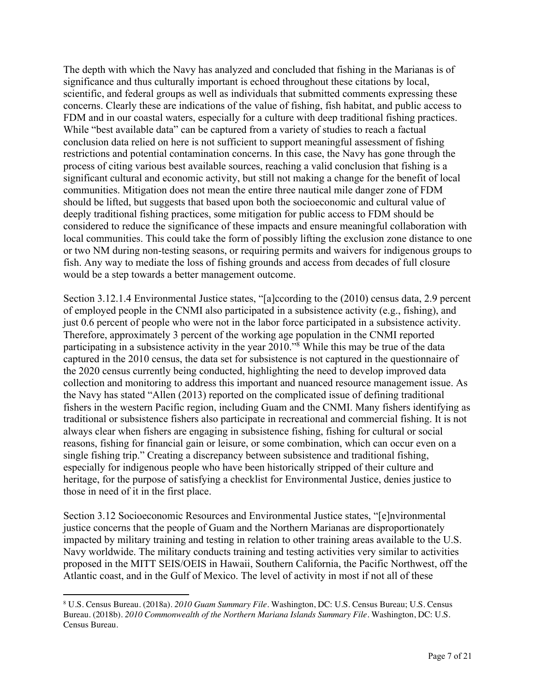The depth with which the Navy has analyzed and concluded that fishing in the Marianas is of significance and thus culturally important is echoed throughout these citations by local, scientific, and federal groups as well as individuals that submitted comments expressing these concerns. Clearly these are indications of the value of fishing, fish habitat, and public access to FDM and in our coastal waters, especially for a culture with deep traditional fishing practices. While "best available data" can be captured from a variety of studies to reach a factual conclusion data relied on here is not sufficient to support meaningful assessment of fishing restrictions and potential contamination concerns. In this case, the Navy has gone through the process of citing various best available sources, reaching a valid conclusion that fishing is a significant cultural and economic activity, but still not making a change for the benefit of local communities. Mitigation does not mean the entire three nautical mile danger zone of FDM should be lifted, but suggests that based upon both the socioeconomic and cultural value of deeply traditional fishing practices, some mitigation for public access to FDM should be considered to reduce the significance of these impacts and ensure meaningful collaboration with local communities. This could take the form of possibly lifting the exclusion zone distance to one or two NM during non-testing seasons, or requiring permits and waivers for indigenous groups to fish. Any way to mediate the loss of fishing grounds and access from decades of full closure would be a step towards a better management outcome.

Section 3.12.1.4 Environmental Justice states, "[a]ccording to the (2010) census data, 2.9 percent of employed people in the CNMI also participated in a subsistence activity (e.g., fishing), and just 0.6 percent of people who were not in the labor force participated in a subsistence activity. Therefore, approximately 3 percent of the working age population in the CNMI reported participating in a subsistence activity in the year 2010."8 While this may be true of the data captured in the 2010 census, the data set for subsistence is not captured in the questionnaire of the 2020 census currently being conducted, highlighting the need to develop improved data collection and monitoring to address this important and nuanced resource management issue. As the Navy has stated "Allen (2013) reported on the complicated issue of defining traditional fishers in the western Pacific region, including Guam and the CNMI. Many fishers identifying as traditional or subsistence fishers also participate in recreational and commercial fishing. It is not always clear when fishers are engaging in subsistence fishing, fishing for cultural or social reasons, fishing for financial gain or leisure, or some combination, which can occur even on a single fishing trip." Creating a discrepancy between subsistence and traditional fishing, especially for indigenous people who have been historically stripped of their culture and heritage, for the purpose of satisfying a checklist for Environmental Justice, denies justice to those in need of it in the first place.

Section 3.12 Socioeconomic Resources and Environmental Justice states, "[e]nvironmental justice concerns that the people of Guam and the Northern Marianas are disproportionately impacted by military training and testing in relation to other training areas available to the U.S. Navy worldwide. The military conducts training and testing activities very similar to activities proposed in the MITT SEIS/OEIS in Hawaii, Southern California, the Pacific Northwest, off the Atlantic coast, and in the Gulf of Mexico. The level of activity in most if not all of these

<sup>8</sup> U.S. Census Bureau. (2018a). *2010 Guam Summary File*. Washington, DC: U.S. Census Bureau; U.S. Census Bureau. (2018b). *2010 Commonwealth of the Northern Mariana Islands Summary File*. Washington, DC: U.S. Census Bureau.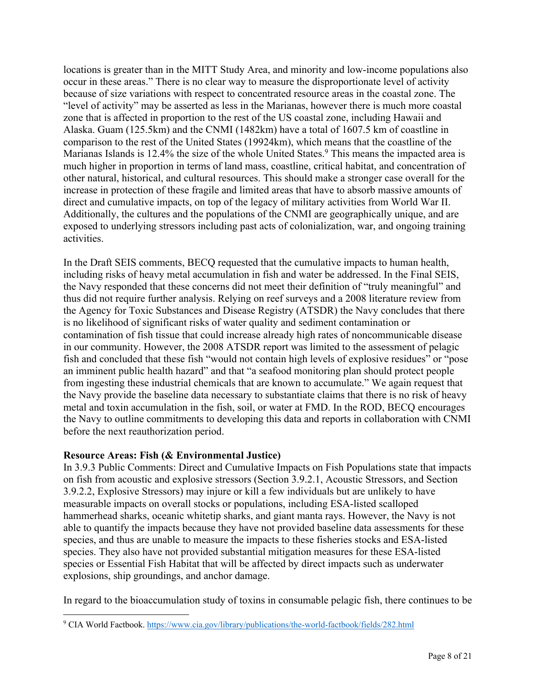locations is greater than in the MITT Study Area, and minority and low-income populations also occur in these areas." There is no clear way to measure the disproportionate level of activity because of size variations with respect to concentrated resource areas in the coastal zone. The "level of activity" may be asserted as less in the Marianas, however there is much more coastal zone that is affected in proportion to the rest of the US coastal zone, including Hawaii and Alaska. Guam (125.5km) and the CNMI (1482km) have a total of 1607.5 km of coastline in comparison to the rest of the United States (19924km), which means that the coastline of the Marianas Islands is 12.4% the size of the whole United States.<sup>9</sup> This means the impacted area is much higher in proportion in terms of land mass, coastline, critical habitat, and concentration of other natural, historical, and cultural resources. This should make a stronger case overall for the increase in protection of these fragile and limited areas that have to absorb massive amounts of direct and cumulative impacts, on top of the legacy of military activities from World War II. Additionally, the cultures and the populations of the CNMI are geographically unique, and are exposed to underlying stressors including past acts of colonialization, war, and ongoing training activities.

In the Draft SEIS comments, BECQ requested that the cumulative impacts to human health, including risks of heavy metal accumulation in fish and water be addressed. In the Final SEIS, the Navy responded that these concerns did not meet their definition of "truly meaningful" and thus did not require further analysis. Relying on reef surveys and a 2008 literature review from the Agency for Toxic Substances and Disease Registry (ATSDR) the Navy concludes that there is no likelihood of significant risks of water quality and sediment contamination or contamination of fish tissue that could increase already high rates of noncommunicable disease in our community. However, the 2008 ATSDR report was limited to the assessment of pelagic fish and concluded that these fish "would not contain high levels of explosive residues" or "pose an imminent public health hazard" and that "a seafood monitoring plan should protect people from ingesting these industrial chemicals that are known to accumulate." We again request that the Navy provide the baseline data necessary to substantiate claims that there is no risk of heavy metal and toxin accumulation in the fish, soil, or water at FMD. In the ROD, BECQ encourages the Navy to outline commitments to developing this data and reports in collaboration with CNMI before the next reauthorization period.

### **Resource Areas: Fish (& Environmental Justice)**

In 3.9.3 Public Comments: Direct and Cumulative Impacts on Fish Populations state that impacts on fish from acoustic and explosive stressors (Section 3.9.2.1, Acoustic Stressors, and Section 3.9.2.2, Explosive Stressors) may injure or kill a few individuals but are unlikely to have measurable impacts on overall stocks or populations, including ESA-listed scalloped hammerhead sharks, oceanic whitetip sharks, and giant manta rays. However, the Navy is not able to quantify the impacts because they have not provided baseline data assessments for these species, and thus are unable to measure the impacts to these fisheries stocks and ESA-listed species. They also have not provided substantial mitigation measures for these ESA-listed species or Essential Fish Habitat that will be affected by direct impacts such as underwater explosions, ship groundings, and anchor damage.

In regard to the bioaccumulation study of toxins in consumable pelagic fish, there continues to be

<sup>9</sup> CIA World Factbook. https://www.cia.gov/library/publications/the-world-factbook/fields/282.html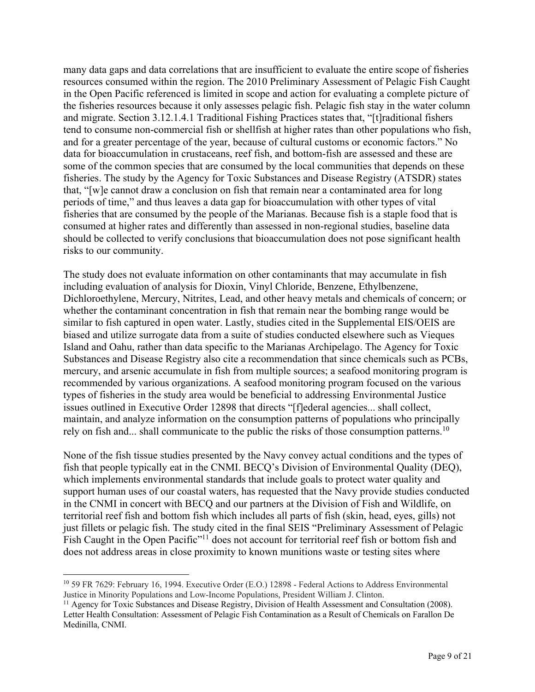many data gaps and data correlations that are insufficient to evaluate the entire scope of fisheries resources consumed within the region. The 2010 Preliminary Assessment of Pelagic Fish Caught in the Open Pacific referenced is limited in scope and action for evaluating a complete picture of the fisheries resources because it only assesses pelagic fish. Pelagic fish stay in the water column and migrate. Section 3.12.1.4.1 Traditional Fishing Practices states that, "[t]raditional fishers tend to consume non-commercial fish or shellfish at higher rates than other populations who fish, and for a greater percentage of the year, because of cultural customs or economic factors." No data for bioaccumulation in crustaceans, reef fish, and bottom-fish are assessed and these are some of the common species that are consumed by the local communities that depends on these fisheries. The study by the Agency for Toxic Substances and Disease Registry (ATSDR) states that, "[w]e cannot draw a conclusion on fish that remain near a contaminated area for long periods of time," and thus leaves a data gap for bioaccumulation with other types of vital fisheries that are consumed by the people of the Marianas. Because fish is a staple food that is consumed at higher rates and differently than assessed in non-regional studies, baseline data should be collected to verify conclusions that bioaccumulation does not pose significant health risks to our community.

The study does not evaluate information on other contaminants that may accumulate in fish including evaluation of analysis for Dioxin, Vinyl Chloride, Benzene, Ethylbenzene, Dichloroethylene, Mercury, Nitrites, Lead, and other heavy metals and chemicals of concern; or whether the contaminant concentration in fish that remain near the bombing range would be similar to fish captured in open water. Lastly, studies cited in the Supplemental EIS/OEIS are biased and utilize surrogate data from a suite of studies conducted elsewhere such as Vieques Island and Oahu, rather than data specific to the Marianas Archipelago. The Agency for Toxic Substances and Disease Registry also cite a recommendation that since chemicals such as PCBs, mercury, and arsenic accumulate in fish from multiple sources; a seafood monitoring program is recommended by various organizations. A seafood monitoring program focused on the various types of fisheries in the study area would be beneficial to addressing Environmental Justice issues outlined in Executive Order 12898 that directs "[f]ederal agencies... shall collect, maintain, and analyze information on the consumption patterns of populations who principally rely on fish and... shall communicate to the public the risks of those consumption patterns.<sup>10</sup>

None of the fish tissue studies presented by the Navy convey actual conditions and the types of fish that people typically eat in the CNMI. BECQ's Division of Environmental Quality (DEQ), which implements environmental standards that include goals to protect water quality and support human uses of our coastal waters, has requested that the Navy provide studies conducted in the CNMI in concert with BECQ and our partners at the Division of Fish and Wildlife, on territorial reef fish and bottom fish which includes all parts of fish (skin, head, eyes, gills) not just fillets or pelagic fish. The study cited in the final SEIS "Preliminary Assessment of Pelagic Fish Caught in the Open Pacific"<sup>11</sup> does not account for territorial reef fish or bottom fish and does not address areas in close proximity to known munitions waste or testing sites where

<sup>10</sup> 59 FR 7629: February 16, 1994. Executive Order (E.O.) 12898 - Federal Actions to Address Environmental Justice in Minority Populations and Low-Income Populations, President William J. Clinton.

<sup>&</sup>lt;sup>11</sup> Agency for Toxic Substances and Disease Registry, Division of Health Assessment and Consultation (2008). Letter Health Consultation: Assessment of Pelagic Fish Contamination as a Result of Chemicals on Farallon De Medinilla, CNMI.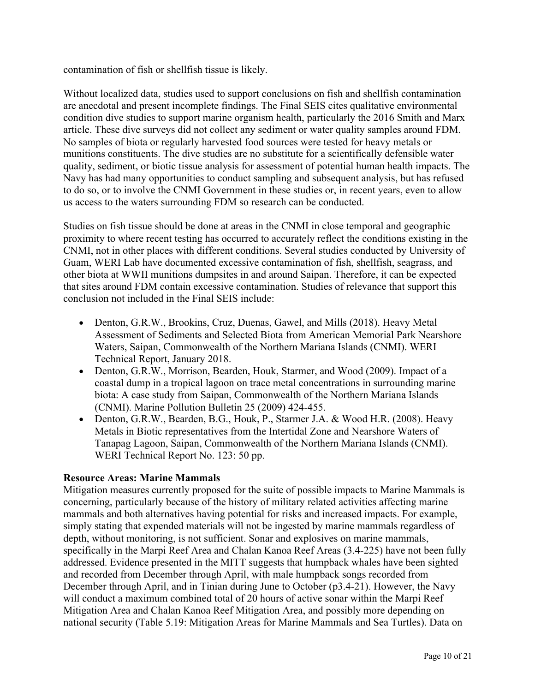contamination of fish or shellfish tissue is likely.

Without localized data, studies used to support conclusions on fish and shellfish contamination are anecdotal and present incomplete findings. The Final SEIS cites qualitative environmental condition dive studies to support marine organism health, particularly the 2016 Smith and Marx article. These dive surveys did not collect any sediment or water quality samples around FDM. No samples of biota or regularly harvested food sources were tested for heavy metals or munitions constituents. The dive studies are no substitute for a scientifically defensible water quality, sediment, or biotic tissue analysis for assessment of potential human health impacts. The Navy has had many opportunities to conduct sampling and subsequent analysis, but has refused to do so, or to involve the CNMI Government in these studies or, in recent years, even to allow us access to the waters surrounding FDM so research can be conducted.

Studies on fish tissue should be done at areas in the CNMI in close temporal and geographic proximity to where recent testing has occurred to accurately reflect the conditions existing in the CNMI, not in other places with different conditions. Several studies conducted by University of Guam, WERI Lab have documented excessive contamination of fish, shellfish, seagrass, and other biota at WWII munitions dumpsites in and around Saipan. Therefore, it can be expected that sites around FDM contain excessive contamination. Studies of relevance that support this conclusion not included in the Final SEIS include:

- Denton, G.R.W., Brookins, Cruz, Duenas, Gawel, and Mills (2018). Heavy Metal Assessment of Sediments and Selected Biota from American Memorial Park Nearshore Waters, Saipan, Commonwealth of the Northern Mariana Islands (CNMI). WERI Technical Report, January 2018.
- Denton, G.R.W., Morrison, Bearden, Houk, Starmer, and Wood (2009). Impact of a coastal dump in a tropical lagoon on trace metal concentrations in surrounding marine biota: A case study from Saipan, Commonwealth of the Northern Mariana Islands (CNMI). Marine Pollution Bulletin 25 (2009) 424-455.
- Denton, G.R.W., Bearden, B.G., Houk, P., Starmer J.A. & Wood H.R. (2008). Heavy Metals in Biotic representatives from the Intertidal Zone and Nearshore Waters of Tanapag Lagoon, Saipan, Commonwealth of the Northern Mariana Islands (CNMI). WERI Technical Report No. 123: 50 pp.

### **Resource Areas: Marine Mammals**

Mitigation measures currently proposed for the suite of possible impacts to Marine Mammals is concerning, particularly because of the history of military related activities affecting marine mammals and both alternatives having potential for risks and increased impacts. For example, simply stating that expended materials will not be ingested by marine mammals regardless of depth, without monitoring, is not sufficient. Sonar and explosives on marine mammals, specifically in the Marpi Reef Area and Chalan Kanoa Reef Areas (3.4-225) have not been fully addressed. Evidence presented in the MITT suggests that humpback whales have been sighted and recorded from December through April, with male humpback songs recorded from December through April, and in Tinian during June to October (p3.4-21). However, the Navy will conduct a maximum combined total of 20 hours of active sonar within the Marpi Reef Mitigation Area and Chalan Kanoa Reef Mitigation Area, and possibly more depending on national security (Table 5.19: Mitigation Areas for Marine Mammals and Sea Turtles). Data on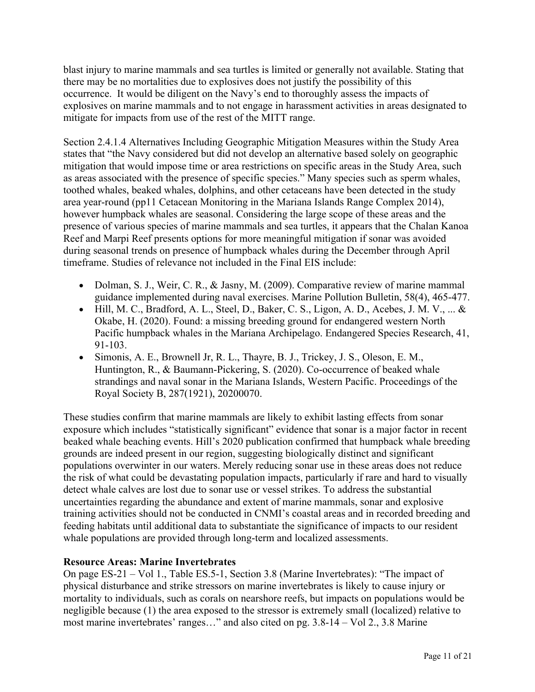blast injury to marine mammals and sea turtles is limited or generally not available. Stating that there may be no mortalities due to explosives does not justify the possibility of this occurrence. It would be diligent on the Navy's end to thoroughly assess the impacts of explosives on marine mammals and to not engage in harassment activities in areas designated to mitigate for impacts from use of the rest of the MITT range.

Section 2.4.1.4 Alternatives Including Geographic Mitigation Measures within the Study Area states that "the Navy considered but did not develop an alternative based solely on geographic mitigation that would impose time or area restrictions on specific areas in the Study Area, such as areas associated with the presence of specific species." Many species such as sperm whales, toothed whales, beaked whales, dolphins, and other cetaceans have been detected in the study area year-round (pp11 Cetacean Monitoring in the Mariana Islands Range Complex 2014), however humpback whales are seasonal. Considering the large scope of these areas and the presence of various species of marine mammals and sea turtles, it appears that the Chalan Kanoa Reef and Marpi Reef presents options for more meaningful mitigation if sonar was avoided during seasonal trends on presence of humpback whales during the December through April timeframe. Studies of relevance not included in the Final EIS include:

- Dolman, S. J., Weir, C. R., & Jasny, M. (2009). Comparative review of marine mammal guidance implemented during naval exercises. Marine Pollution Bulletin, 58(4), 465-477.
- Hill, M. C., Bradford, A. L., Steel, D., Baker, C. S., Ligon, A. D., Acebes, J. M. V., ... & Okabe, H. (2020). Found: a missing breeding ground for endangered western North Pacific humpback whales in the Mariana Archipelago. Endangered Species Research, 41, 91-103.
- Simonis, A. E., Brownell Jr, R. L., Thayre, B. J., Trickey, J. S., Oleson, E. M., Huntington, R., & Baumann-Pickering, S. (2020). Co-occurrence of beaked whale strandings and naval sonar in the Mariana Islands, Western Pacific. Proceedings of the Royal Society B, 287(1921), 20200070.

These studies confirm that marine mammals are likely to exhibit lasting effects from sonar exposure which includes "statistically significant" evidence that sonar is a major factor in recent beaked whale beaching events. Hill's 2020 publication confirmed that humpback whale breeding grounds are indeed present in our region, suggesting biologically distinct and significant populations overwinter in our waters. Merely reducing sonar use in these areas does not reduce the risk of what could be devastating population impacts, particularly if rare and hard to visually detect whale calves are lost due to sonar use or vessel strikes. To address the substantial uncertainties regarding the abundance and extent of marine mammals, sonar and explosive training activities should not be conducted in CNMI's coastal areas and in recorded breeding and feeding habitats until additional data to substantiate the significance of impacts to our resident whale populations are provided through long-term and localized assessments.

# **Resource Areas: Marine Invertebrates**

On page ES-21 – Vol 1., Table ES.5-1, Section 3.8 (Marine Invertebrates): "The impact of physical disturbance and strike stressors on marine invertebrates is likely to cause injury or mortality to individuals, such as corals on nearshore reefs, but impacts on populations would be negligible because (1) the area exposed to the stressor is extremely small (localized) relative to most marine invertebrates' ranges…" and also cited on pg. 3.8-14 – Vol 2., 3.8 Marine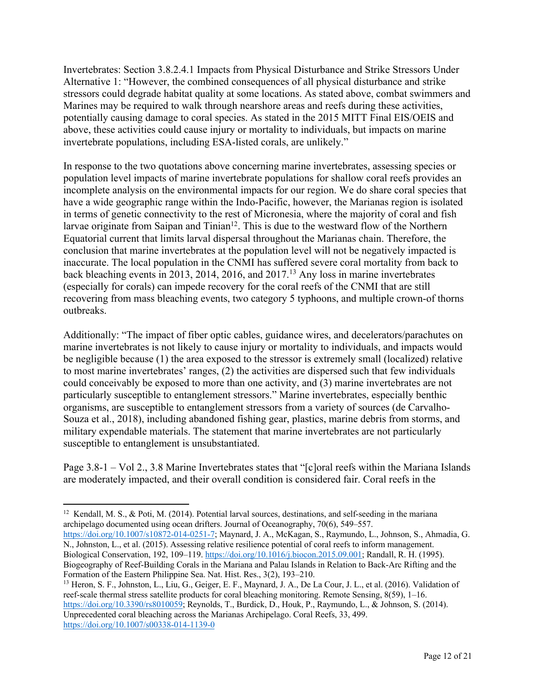Invertebrates: Section 3.8.2.4.1 Impacts from Physical Disturbance and Strike Stressors Under Alternative 1: "However, the combined consequences of all physical disturbance and strike stressors could degrade habitat quality at some locations. As stated above, combat swimmers and Marines may be required to walk through nearshore areas and reefs during these activities, potentially causing damage to coral species. As stated in the 2015 MITT Final EIS/OEIS and above, these activities could cause injury or mortality to individuals, but impacts on marine invertebrate populations, including ESA-listed corals, are unlikely."

In response to the two quotations above concerning marine invertebrates, assessing species or population level impacts of marine invertebrate populations for shallow coral reefs provides an incomplete analysis on the environmental impacts for our region. We do share coral species that have a wide geographic range within the Indo-Pacific, however, the Marianas region is isolated in terms of genetic connectivity to the rest of Micronesia, where the majority of coral and fish larvae originate from Saipan and Tinian<sup>12</sup>. This is due to the westward flow of the Northern Equatorial current that limits larval dispersal throughout the Marianas chain. Therefore, the conclusion that marine invertebrates at the population level will not be negatively impacted is inaccurate. The local population in the CNMI has suffered severe coral mortality from back to back bleaching events in 2013, 2014, 2016, and 2017. <sup>13</sup> Any loss in marine invertebrates (especially for corals) can impede recovery for the coral reefs of the CNMI that are still recovering from mass bleaching events, two category 5 typhoons, and multiple crown-of thorns outbreaks.

Additionally: "The impact of fiber optic cables, guidance wires, and decelerators/parachutes on marine invertebrates is not likely to cause injury or mortality to individuals, and impacts would be negligible because (1) the area exposed to the stressor is extremely small (localized) relative to most marine invertebrates' ranges, (2) the activities are dispersed such that few individuals could conceivably be exposed to more than one activity, and (3) marine invertebrates are not particularly susceptible to entanglement stressors." Marine invertebrates, especially benthic organisms, are susceptible to entanglement stressors from a variety of sources (de Carvalho-Souza et al., 2018), including abandoned fishing gear, plastics, marine debris from storms, and military expendable materials. The statement that marine invertebrates are not particularly susceptible to entanglement is unsubstantiated.

Page 3.8-1 – Vol 2., 3.8 Marine Invertebrates states that "[c]oral reefs within the Mariana Islands are moderately impacted, and their overall condition is considered fair. Coral reefs in the

https://doi.org/10.1007/s10872-014-0251-7; Maynard, J. A., McKagan, S., Raymundo, L., Johnson, S., Ahmadia, G. N., Johnston, L., et al. (2015). Assessing relative resilience potential of coral reefs to inform management. Biological Conservation, 192, 109–119. https://doi.org/10.1016/j.biocon.2015.09.001; Randall, R. H. (1995). Biogeography of Reef-Building Corals in the Mariana and Palau Islands in Relation to Back-Arc Rifting and the Formation of the Eastern Philippine Sea. Nat. Hist. Res., 3(2), 193–210.

<sup>13</sup> Heron, S. F., Johnston, L., Liu, G., Geiger, E. F., Maynard, J. A., De La Cour, J. L., et al. (2016). Validation of reef-scale thermal stress satellite products for coral bleaching monitoring. Remote Sensing, 8(59), 1–16. https://doi.org/10.3390/rs8010059; Reynolds, T., Burdick, D., Houk, P., Raymundo, L., & Johnson, S. (2014). Unprecedented coral bleaching across the Marianas Archipelago. Coral Reefs, 33, 499. https://doi.org/10.1007/s00338-014-1139-0

<sup>&</sup>lt;sup>12</sup> Kendall, M. S., & Poti, M. (2014). Potential larval sources, destinations, and self-seeding in the mariana archipelago documented using ocean drifters. Journal of Oceanography, 70(6), 549–557.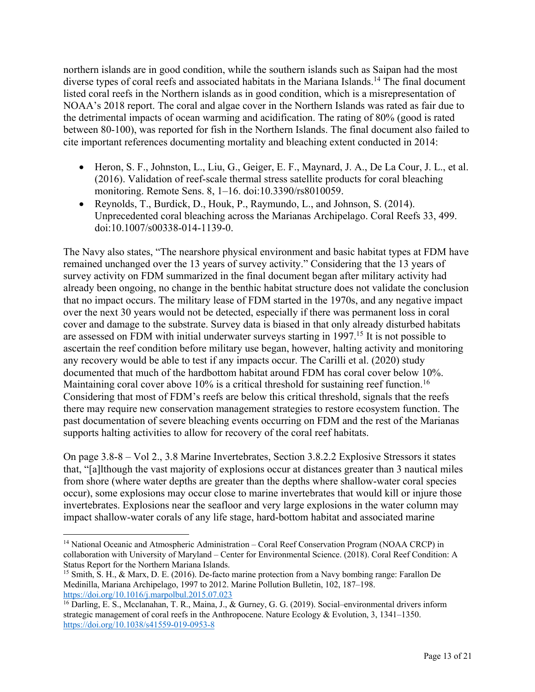northern islands are in good condition, while the southern islands such as Saipan had the most diverse types of coral reefs and associated habitats in the Mariana Islands.<sup>14</sup> The final document listed coral reefs in the Northern islands as in good condition, which is a misrepresentation of NOAA's 2018 report. The coral and algae cover in the Northern Islands was rated as fair due to the detrimental impacts of ocean warming and acidification. The rating of 80% (good is rated between 80-100), was reported for fish in the Northern Islands. The final document also failed to cite important references documenting mortality and bleaching extent conducted in 2014:

- Heron, S. F., Johnston, L., Liu, G., Geiger, E. F., Maynard, J. A., De La Cour, J. L., et al. (2016). Validation of reef-scale thermal stress satellite products for coral bleaching monitoring. Remote Sens. 8, 1–16. doi:10.3390/rs8010059.
- Reynolds, T., Burdick, D., Houk, P., Raymundo, L., and Johnson, S. (2014). Unprecedented coral bleaching across the Marianas Archipelago. Coral Reefs 33, 499. doi:10.1007/s00338-014-1139-0.

The Navy also states, "The nearshore physical environment and basic habitat types at FDM have remained unchanged over the 13 years of survey activity." Considering that the 13 years of survey activity on FDM summarized in the final document began after military activity had already been ongoing, no change in the benthic habitat structure does not validate the conclusion that no impact occurs. The military lease of FDM started in the 1970s, and any negative impact over the next 30 years would not be detected, especially if there was permanent loss in coral cover and damage to the substrate. Survey data is biased in that only already disturbed habitats are assessed on FDM with initial underwater surveys starting in 1997. <sup>15</sup> It is not possible to ascertain the reef condition before military use began, however, halting activity and monitoring any recovery would be able to test if any impacts occur. The Carilli et al. (2020) study documented that much of the hardbottom habitat around FDM has coral cover below 10%. Maintaining coral cover above 10% is a critical threshold for sustaining reef function.<sup>16</sup> Considering that most of FDM's reefs are below this critical threshold, signals that the reefs there may require new conservation management strategies to restore ecosystem function. The past documentation of severe bleaching events occurring on FDM and the rest of the Marianas supports halting activities to allow for recovery of the coral reef habitats.

On page 3.8-8 – Vol 2., 3.8 Marine Invertebrates, Section 3.8.2.2 Explosive Stressors it states that, "[a]lthough the vast majority of explosions occur at distances greater than 3 nautical miles from shore (where water depths are greater than the depths where shallow-water coral species occur), some explosions may occur close to marine invertebrates that would kill or injure those invertebrates. Explosions near the seafloor and very large explosions in the water column may impact shallow-water corals of any life stage, hard-bottom habitat and associated marine

<sup>&</sup>lt;sup>14</sup> National Oceanic and Atmospheric Administration – Coral Reef Conservation Program (NOAA CRCP) in collaboration with University of Maryland – Center for Environmental Science. (2018). Coral Reef Condition: A Status Report for the Northern Mariana Islands.

<sup>&</sup>lt;sup>15</sup> Smith, S. H., & Marx, D. E. (2016). De-facto marine protection from a Navy bombing range: Farallon De Medinilla, Mariana Archipelago, 1997 to 2012. Marine Pollution Bulletin, 102, 187–198. https://doi.org/10.1016/j.marpolbul.2015.07.023

<sup>16</sup> Darling, E. S., Mcclanahan, T. R., Maina, J., & Gurney, G. G. (2019). Social–environmental drivers inform strategic management of coral reefs in the Anthropocene. Nature Ecology & Evolution, 3, 1341–1350. https://doi.org/10.1038/s41559-019-0953-8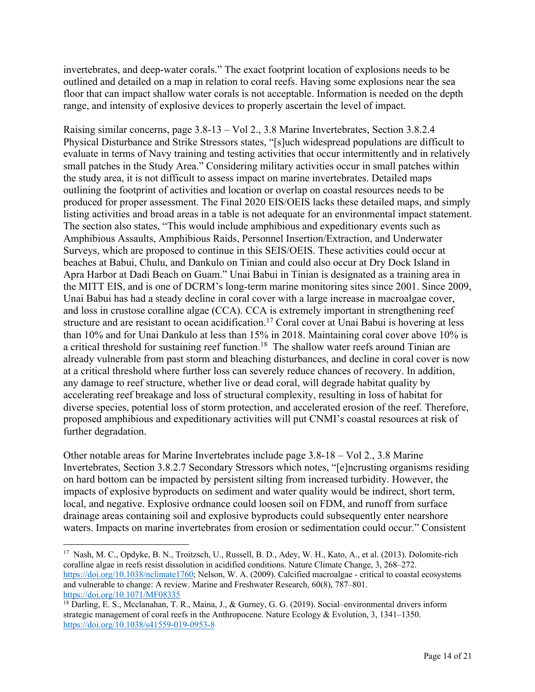invertebrates, and deep-water corals." The exact footprint location of explosions needs to be outlined and detailed on a map in relation to coral reefs. Having some explosions near the sea floor that can impact shallow water corals is not acceptable. Information is needed on the depth range, and intensity of explosive devices to properly ascertain the level of impact.

Raising similar concerns, page 3.8-13 – Vol 2., 3.8 Marine Invertebrates, Section 3.8.2.4 Physical Disturbance and Strike Stressors states, "[s]uch widespread populations are difficult to evaluate in terms of Navy training and testing activities that occur intermittently and in relatively small patches in the Study Area." Considering military activities occur in small patches within the study area, it is not difficult to assess impact on marine invertebrates. Detailed maps outlining the footprint of activities and location or overlap on coastal resources needs to be produced for proper assessment. The Final 2020 EIS/OEIS lacks these detailed maps, and simply listing activities and broad areas in a table is not adequate for an environmental impact statement. The section also states, "This would include amphibious and expeditionary events such as Amphibious Assaults, Amphibious Raids, Personnel Insertion/Extraction, and Underwater Surveys, which are proposed to continue in this SEIS/OEIS. These activities could occur at beaches at Babui, Chulu, and Dankulo on Tinian and could also occur at Dry Dock Island in Apra Harbor at Dadi Beach on Guam." Unai Babui in Tinian is designated as a training area in the MITT EIS, and is one of DCRM's long-term marine monitoring sites since 2001. Since 2009, Unai Babui has had a steady decline in coral cover with a large increase in macroalgae cover, and loss in crustose coralline algae (CCA). CCA is extremely important in strengthening reef structure and are resistant to ocean acidification.<sup>17</sup> Coral cover at Unai Babui is hovering at less than 10% and for Unai Dankulo at less than 15% in 2018. Maintaining coral cover above 10% is a critical threshold for sustaining reef function.<sup>18</sup> The shallow water reefs around Tinian are already vulnerable from past storm and bleaching disturbances, and decline in coral cover is now at a critical threshold where further loss can severely reduce chances of recovery. In addition, any damage to reef structure, whether live or dead coral, will degrade habitat quality by accelerating reef breakage and loss of structural complexity, resulting in loss of habitat for diverse species, potential loss of storm protection, and accelerated erosion of the reef. Therefore, proposed amphibious and expeditionary activities will put CNMI's coastal resources at risk of further degradation.

Other notable areas for Marine Invertebrates include page 3.8-18 – Vol 2., 3.8 Marine Invertebrates, Section 3.8.2.7 Secondary Stressors which notes, "[e]ncrusting organisms residing on hard bottom can be impacted by persistent silting from increased turbidity. However, the impacts of explosive byproducts on sediment and water quality would be indirect, short term, local, and negative. Explosive ordnance could loosen soil on FDM, and runoff from surface drainage areas containing soil and explosive byproducts could subsequently enter nearshore waters. Impacts on marine invertebrates from erosion or sedimentation could occur." Consistent

<sup>17</sup> Nash, M. C., Opdyke, B. N., Troitzsch, U., Russell, B. D., Adey, W. H., Kato, A., et al. (2013). Dolomite-rich coralline algae in reefs resist dissolution in acidified conditions. Nature Climate Change, 3, 268–272. https://doi.org/10.1038/nclimate1760; Nelson, W. A. (2009). Calcified macroalgae - critical to coastal ecosystems and vulnerable to change: A review. Marine and Freshwater Research, 60(8), 787–801. https://doi.org/10.1071/MF08335

<sup>&</sup>lt;sup>18</sup> Darling, E. S., Mcclanahan, T. R., Maina, J., & Gurney, G. G. (2019). Social–environmental drivers inform strategic management of coral reefs in the Anthropocene. Nature Ecology & Evolution, 3, 1341–1350. https://doi.org/10.1038/s41559-019-0953-8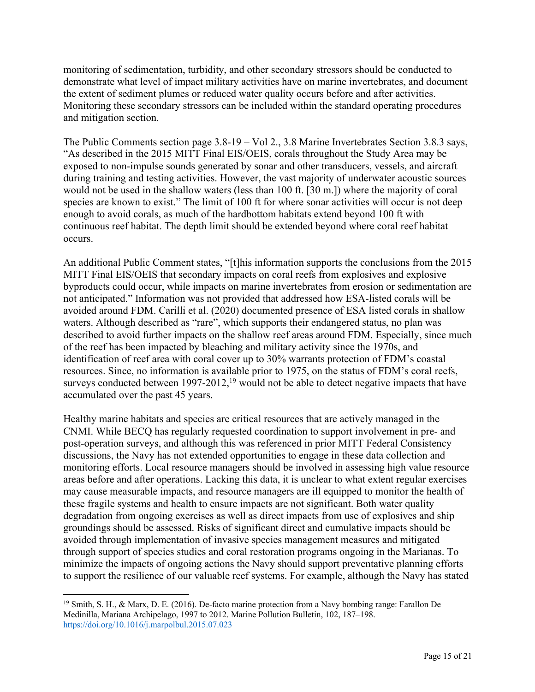monitoring of sedimentation, turbidity, and other secondary stressors should be conducted to demonstrate what level of impact military activities have on marine invertebrates, and document the extent of sediment plumes or reduced water quality occurs before and after activities. Monitoring these secondary stressors can be included within the standard operating procedures and mitigation section.

The Public Comments section page 3.8-19 – Vol 2., 3.8 Marine Invertebrates Section 3.8.3 says, "As described in the 2015 MITT Final EIS/OEIS, corals throughout the Study Area may be exposed to non-impulse sounds generated by sonar and other transducers, vessels, and aircraft during training and testing activities. However, the vast majority of underwater acoustic sources would not be used in the shallow waters (less than 100 ft. [30 m.]) where the majority of coral species are known to exist." The limit of 100 ft for where sonar activities will occur is not deep enough to avoid corals, as much of the hardbottom habitats extend beyond 100 ft with continuous reef habitat. The depth limit should be extended beyond where coral reef habitat occurs.

An additional Public Comment states, "[t]his information supports the conclusions from the 2015 MITT Final EIS/OEIS that secondary impacts on coral reefs from explosives and explosive byproducts could occur, while impacts on marine invertebrates from erosion or sedimentation are not anticipated." Information was not provided that addressed how ESA-listed corals will be avoided around FDM. Carilli et al. (2020) documented presence of ESA listed corals in shallow waters. Although described as "rare", which supports their endangered status, no plan was described to avoid further impacts on the shallow reef areas around FDM. Especially, since much of the reef has been impacted by bleaching and military activity since the 1970s, and identification of reef area with coral cover up to 30% warrants protection of FDM's coastal resources. Since, no information is available prior to 1975, on the status of FDM's coral reefs, surveys conducted between  $1997-2012$ ,<sup>19</sup> would not be able to detect negative impacts that have accumulated over the past 45 years.

Healthy marine habitats and species are critical resources that are actively managed in the CNMI. While BECQ has regularly requested coordination to support involvement in pre- and post-operation surveys, and although this was referenced in prior MITT Federal Consistency discussions, the Navy has not extended opportunities to engage in these data collection and monitoring efforts. Local resource managers should be involved in assessing high value resource areas before and after operations. Lacking this data, it is unclear to what extent regular exercises may cause measurable impacts, and resource managers are ill equipped to monitor the health of these fragile systems and health to ensure impacts are not significant. Both water quality degradation from ongoing exercises as well as direct impacts from use of explosives and ship groundings should be assessed. Risks of significant direct and cumulative impacts should be avoided through implementation of invasive species management measures and mitigated through support of species studies and coral restoration programs ongoing in the Marianas. To minimize the impacts of ongoing actions the Navy should support preventative planning efforts to support the resilience of our valuable reef systems. For example, although the Navy has stated

<sup>19</sup> Smith, S. H., & Marx, D. E. (2016). De-facto marine protection from a Navy bombing range: Farallon De Medinilla, Mariana Archipelago, 1997 to 2012. Marine Pollution Bulletin, 102, 187–198. https://doi.org/10.1016/j.marpolbul.2015.07.023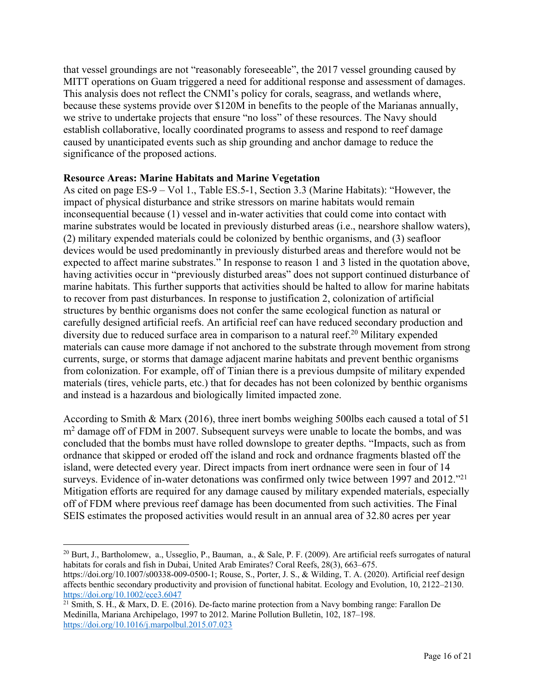that vessel groundings are not "reasonably foreseeable", the 2017 vessel grounding caused by MITT operations on Guam triggered a need for additional response and assessment of damages. This analysis does not reflect the CNMI's policy for corals, seagrass, and wetlands where, because these systems provide over \$120M in benefits to the people of the Marianas annually, we strive to undertake projects that ensure "no loss" of these resources. The Navy should establish collaborative, locally coordinated programs to assess and respond to reef damage caused by unanticipated events such as ship grounding and anchor damage to reduce the significance of the proposed actions.

### **Resource Areas: Marine Habitats and Marine Vegetation**

As cited on page ES-9 – Vol 1., Table ES.5-1, Section 3.3 (Marine Habitats): "However, the impact of physical disturbance and strike stressors on marine habitats would remain inconsequential because (1) vessel and in-water activities that could come into contact with marine substrates would be located in previously disturbed areas (i.e., nearshore shallow waters), (2) military expended materials could be colonized by benthic organisms, and (3) seafloor devices would be used predominantly in previously disturbed areas and therefore would not be expected to affect marine substrates." In response to reason 1 and 3 listed in the quotation above, having activities occur in "previously disturbed areas" does not support continued disturbance of marine habitats. This further supports that activities should be halted to allow for marine habitats to recover from past disturbances. In response to justification 2, colonization of artificial structures by benthic organisms does not confer the same ecological function as natural or carefully designed artificial reefs. An artificial reef can have reduced secondary production and diversity due to reduced surface area in comparison to a natural reef. <sup>20</sup> Military expended materials can cause more damage if not anchored to the substrate through movement from strong currents, surge, or storms that damage adjacent marine habitats and prevent benthic organisms from colonization. For example, off of Tinian there is a previous dumpsite of military expended materials (tires, vehicle parts, etc.) that for decades has not been colonized by benthic organisms and instead is a hazardous and biologically limited impacted zone.

According to Smith & Marx (2016), three inert bombs weighing 500lbs each caused a total of 51  $m<sup>2</sup>$  damage off of FDM in 2007. Subsequent surveys were unable to locate the bombs, and was concluded that the bombs must have rolled downslope to greater depths. "Impacts, such as from ordnance that skipped or eroded off the island and rock and ordnance fragments blasted off the island, were detected every year. Direct impacts from inert ordnance were seen in four of 14 surveys. Evidence of in-water detonations was confirmed only twice between 1997 and 2012."<sup>21</sup> Mitigation efforts are required for any damage caused by military expended materials, especially off of FDM where previous reef damage has been documented from such activities. The Final SEIS estimates the proposed activities would result in an annual area of 32.80 acres per year

 $20$  Burt, J., Bartholomew, a., Usseglio, P., Bauman, a., & Sale, P. F. (2009). Are artificial reefs surrogates of natural habitats for corals and fish in Dubai, United Arab Emirates? Coral Reefs, 28(3), 663–675.

https://doi.org/10.1007/s00338-009-0500-1; Rouse, S., Porter, J. S., & Wilding, T. A. (2020). Artificial reef design affects benthic secondary productivity and provision of functional habitat. Ecology and Evolution, 10, 2122–2130. https://doi.org/10.1002/ece3.6047

 $21$  Smith, S. H., & Marx, D. E. (2016). De-facto marine protection from a Navy bombing range: Farallon De Medinilla, Mariana Archipelago, 1997 to 2012. Marine Pollution Bulletin, 102, 187–198. https://doi.org/10.1016/j.marpolbul.2015.07.023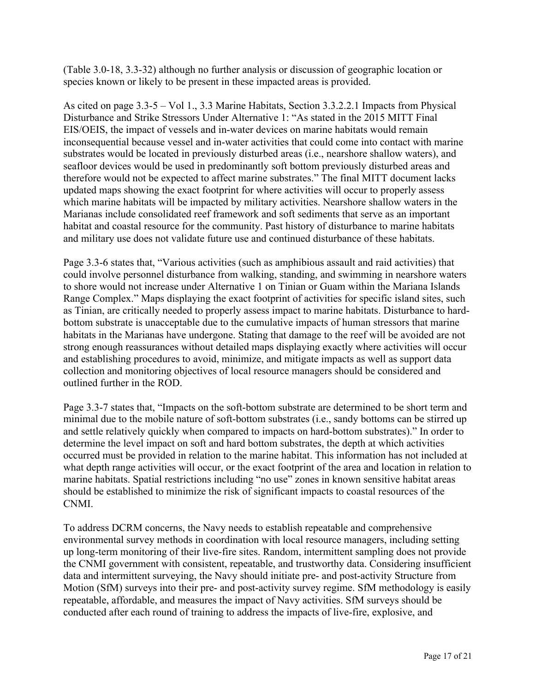(Table 3.0-18, 3.3-32) although no further analysis or discussion of geographic location or species known or likely to be present in these impacted areas is provided.

As cited on page 3.3-5 – Vol 1., 3.3 Marine Habitats, Section 3.3.2.2.1 Impacts from Physical Disturbance and Strike Stressors Under Alternative 1: "As stated in the 2015 MITT Final EIS/OEIS, the impact of vessels and in-water devices on marine habitats would remain inconsequential because vessel and in-water activities that could come into contact with marine substrates would be located in previously disturbed areas (i.e., nearshore shallow waters), and seafloor devices would be used in predominantly soft bottom previously disturbed areas and therefore would not be expected to affect marine substrates." The final MITT document lacks updated maps showing the exact footprint for where activities will occur to properly assess which marine habitats will be impacted by military activities. Nearshore shallow waters in the Marianas include consolidated reef framework and soft sediments that serve as an important habitat and coastal resource for the community. Past history of disturbance to marine habitats and military use does not validate future use and continued disturbance of these habitats.

Page 3.3-6 states that, "Various activities (such as amphibious assault and raid activities) that could involve personnel disturbance from walking, standing, and swimming in nearshore waters to shore would not increase under Alternative 1 on Tinian or Guam within the Mariana Islands Range Complex." Maps displaying the exact footprint of activities for specific island sites, such as Tinian, are critically needed to properly assess impact to marine habitats. Disturbance to hardbottom substrate is unacceptable due to the cumulative impacts of human stressors that marine habitats in the Marianas have undergone. Stating that damage to the reef will be avoided are not strong enough reassurances without detailed maps displaying exactly where activities will occur and establishing procedures to avoid, minimize, and mitigate impacts as well as support data collection and monitoring objectives of local resource managers should be considered and outlined further in the ROD.

Page 3.3-7 states that, "Impacts on the soft-bottom substrate are determined to be short term and minimal due to the mobile nature of soft-bottom substrates (i.e., sandy bottoms can be stirred up and settle relatively quickly when compared to impacts on hard-bottom substrates)." In order to determine the level impact on soft and hard bottom substrates, the depth at which activities occurred must be provided in relation to the marine habitat. This information has not included at what depth range activities will occur, or the exact footprint of the area and location in relation to marine habitats. Spatial restrictions including "no use" zones in known sensitive habitat areas should be established to minimize the risk of significant impacts to coastal resources of the CNMI.

To address DCRM concerns, the Navy needs to establish repeatable and comprehensive environmental survey methods in coordination with local resource managers, including setting up long-term monitoring of their live-fire sites. Random, intermittent sampling does not provide the CNMI government with consistent, repeatable, and trustworthy data. Considering insufficient data and intermittent surveying, the Navy should initiate pre- and post-activity Structure from Motion (SfM) surveys into their pre- and post-activity survey regime. SfM methodology is easily repeatable, affordable, and measures the impact of Navy activities. SfM surveys should be conducted after each round of training to address the impacts of live-fire, explosive, and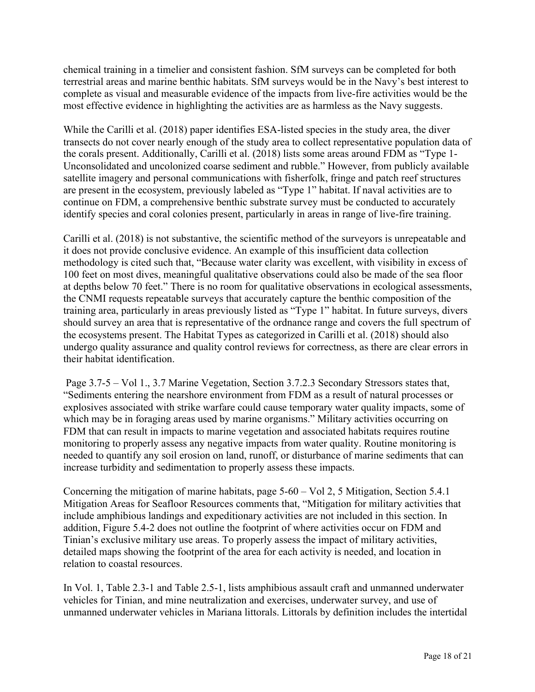chemical training in a timelier and consistent fashion. SfM surveys can be completed for both terrestrial areas and marine benthic habitats. SfM surveys would be in the Navy's best interest to complete as visual and measurable evidence of the impacts from live-fire activities would be the most effective evidence in highlighting the activities are as harmless as the Navy suggests.

While the Carilli et al. (2018) paper identifies ESA-listed species in the study area, the diver transects do not cover nearly enough of the study area to collect representative population data of the corals present. Additionally, Carilli et al. (2018) lists some areas around FDM as "Type 1- Unconsolidated and uncolonized coarse sediment and rubble." However, from publicly available satellite imagery and personal communications with fisherfolk, fringe and patch reef structures are present in the ecosystem, previously labeled as "Type 1" habitat. If naval activities are to continue on FDM, a comprehensive benthic substrate survey must be conducted to accurately identify species and coral colonies present, particularly in areas in range of live-fire training.

Carilli et al. (2018) is not substantive, the scientific method of the surveyors is unrepeatable and it does not provide conclusive evidence. An example of this insufficient data collection methodology is cited such that, "Because water clarity was excellent, with visibility in excess of 100 feet on most dives, meaningful qualitative observations could also be made of the sea floor at depths below 70 feet." There is no room for qualitative observations in ecological assessments, the CNMI requests repeatable surveys that accurately capture the benthic composition of the training area, particularly in areas previously listed as "Type 1" habitat. In future surveys, divers should survey an area that is representative of the ordnance range and covers the full spectrum of the ecosystems present. The Habitat Types as categorized in Carilli et al. (2018) should also undergo quality assurance and quality control reviews for correctness, as there are clear errors in their habitat identification.

Page 3.7-5 – Vol 1., 3.7 Marine Vegetation, Section 3.7.2.3 Secondary Stressors states that, "Sediments entering the nearshore environment from FDM as a result of natural processes or explosives associated with strike warfare could cause temporary water quality impacts, some of which may be in foraging areas used by marine organisms." Military activities occurring on FDM that can result in impacts to marine vegetation and associated habitats requires routine monitoring to properly assess any negative impacts from water quality. Routine monitoring is needed to quantify any soil erosion on land, runoff, or disturbance of marine sediments that can increase turbidity and sedimentation to properly assess these impacts.

Concerning the mitigation of marine habitats, page 5-60 – Vol 2, 5 Mitigation, Section 5.4.1 Mitigation Areas for Seafloor Resources comments that, "Mitigation for military activities that include amphibious landings and expeditionary activities are not included in this section. In addition, Figure 5.4-2 does not outline the footprint of where activities occur on FDM and Tinian's exclusive military use areas. To properly assess the impact of military activities, detailed maps showing the footprint of the area for each activity is needed, and location in relation to coastal resources.

In Vol. 1, Table 2.3-1 and Table 2.5-1, lists amphibious assault craft and unmanned underwater vehicles for Tinian, and mine neutralization and exercises, underwater survey, and use of unmanned underwater vehicles in Mariana littorals. Littorals by definition includes the intertidal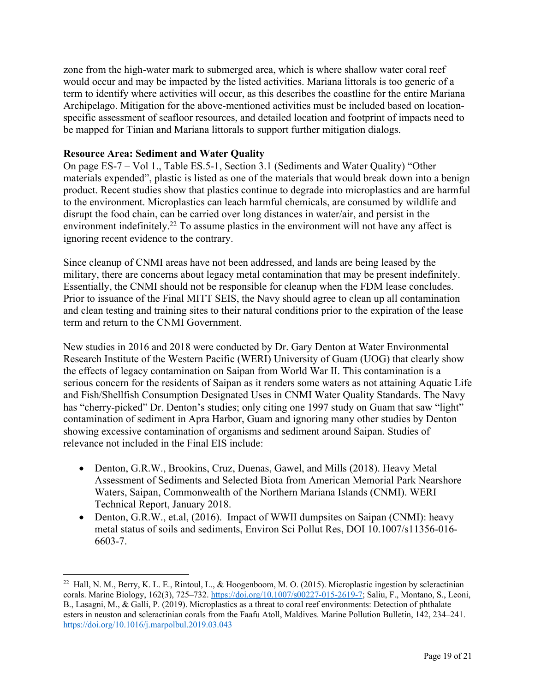zone from the high-water mark to submerged area, which is where shallow water coral reef would occur and may be impacted by the listed activities. Mariana littorals is too generic of a term to identify where activities will occur, as this describes the coastline for the entire Mariana Archipelago. Mitigation for the above-mentioned activities must be included based on locationspecific assessment of seafloor resources, and detailed location and footprint of impacts need to be mapped for Tinian and Mariana littorals to support further mitigation dialogs.

## **Resource Area: Sediment and Water Quality**

On page ES-7 – Vol 1., Table ES.5-1, Section 3.1 (Sediments and Water Quality) "Other materials expended", plastic is listed as one of the materials that would break down into a benign product. Recent studies show that plastics continue to degrade into microplastics and are harmful to the environment. Microplastics can leach harmful chemicals, are consumed by wildlife and disrupt the food chain, can be carried over long distances in water/air, and persist in the environment indefinitely.<sup>22</sup> To assume plastics in the environment will not have any affect is ignoring recent evidence to the contrary.

Since cleanup of CNMI areas have not been addressed, and lands are being leased by the military, there are concerns about legacy metal contamination that may be present indefinitely. Essentially, the CNMI should not be responsible for cleanup when the FDM lease concludes. Prior to issuance of the Final MITT SEIS, the Navy should agree to clean up all contamination and clean testing and training sites to their natural conditions prior to the expiration of the lease term and return to the CNMI Government.

New studies in 2016 and 2018 were conducted by Dr. Gary Denton at Water Environmental Research Institute of the Western Pacific (WERI) University of Guam (UOG) that clearly show the effects of legacy contamination on Saipan from World War II. This contamination is a serious concern for the residents of Saipan as it renders some waters as not attaining Aquatic Life and Fish/Shellfish Consumption Designated Uses in CNMI Water Quality Standards. The Navy has "cherry-picked" Dr. Denton's studies; only citing one 1997 study on Guam that saw "light" contamination of sediment in Apra Harbor, Guam and ignoring many other studies by Denton showing excessive contamination of organisms and sediment around Saipan. Studies of relevance not included in the Final EIS include:

- Denton, G.R.W., Brookins, Cruz, Duenas, Gawel, and Mills (2018). Heavy Metal Assessment of Sediments and Selected Biota from American Memorial Park Nearshore Waters, Saipan, Commonwealth of the Northern Mariana Islands (CNMI). WERI Technical Report, January 2018.
- Denton, G.R.W., et.al, (2016). Impact of WWII dumpsites on Saipan (CNMI): heavy metal status of soils and sediments, Environ Sci Pollut Res, DOI 10.1007/s11356-016- 6603-7.

<sup>&</sup>lt;sup>22</sup> Hall, N. M., Berry, K. L. E., Rintoul, L., & Hoogenboom, M. O. (2015). Microplastic ingestion by scleractinian corals. Marine Biology, 162(3), 725–732. https://doi.org/10.1007/s00227-015-2619-7; Saliu, F., Montano, S., Leoni, B., Lasagni, M., & Galli, P. (2019). Microplastics as a threat to coral reef environments: Detection of phthalate esters in neuston and scleractinian corals from the Faafu Atoll, Maldives. Marine Pollution Bulletin, 142, 234–241. https://doi.org/10.1016/j.marpolbul.2019.03.043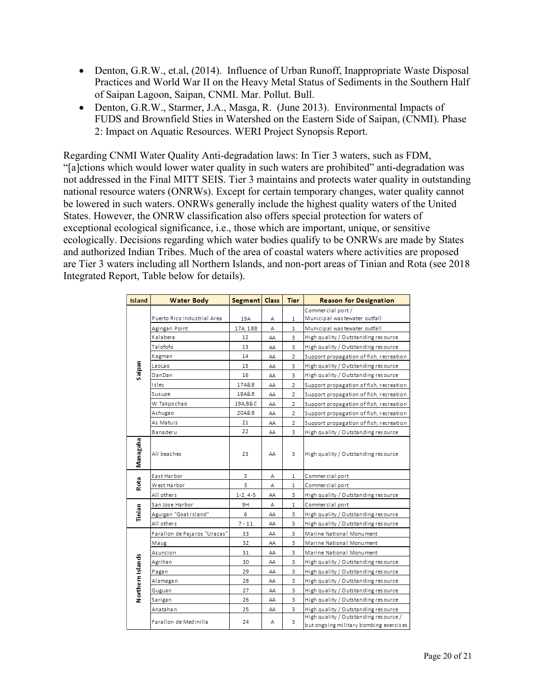- Denton, G.R.W., et.al, (2014). Influence of Urban Runoff, Inappropriate Waste Disposal Practices and World War II on the Heavy Metal Status of Sediments in the Southern Half of Saipan Lagoon, Saipan, CNMI. Mar. Pollut. Bull.
- Denton, G.R.W., Starmer, J.A., Masga, R. (June 2013). Environmental Impacts of FUDS and Brownfield Sties in Watershed on the Eastern Side of Saipan, (CNMI). Phase 2: Impact on Aquatic Resources. WERI Project Synopsis Report.

Regarding CNMI Water Quality Anti-degradation laws: In Tier 3 waters, such as FDM, "[a]ctions which would lower water quality in such waters are prohibited" anti-degradation was not addressed in the Final MITT SEIS. Tier 3 maintains and protects water quality in outstanding national resource waters (ONRWs). Except for certain temporary changes, water quality cannot be lowered in such waters. ONRWs generally include the highest quality waters of the United States. However, the ONRW classification also offers special protection for waters of exceptional ecological significance, i.e., those which are important, unique, or sensitive ecologically. Decisions regarding which water bodies qualify to be ONRWs are made by States and authorized Indian Tribes. Much of the area of coastal waters where activities are proposed are Tier 3 waters including all Northern Islands, and non-port areas of Tinian and Rota (see 2018 Integrated Report, Table below for details).

| <b>Island</b>    | <b>Water Body</b>            | Segment Class  |    | <b>Tier</b>    | <b>Reason for Designation</b>                                                   |
|------------------|------------------------------|----------------|----|----------------|---------------------------------------------------------------------------------|
| Saipan           |                              |                |    |                | Commercial port/                                                                |
|                  | Puerto Rico Industrial Area  | 19A            | Α  | 1              | Municipal was tewater outfall                                                   |
|                  | Agingan Point                | 17A, 18B       | Α  | 1              | Municipal was tewater outfall                                                   |
|                  | Kalabera                     | 12             | АΑ | 3              | High quality / Outstanding resource                                             |
|                  | Talofofo                     | 13             | АΑ | 3              | High quality / Outstanding resource                                             |
|                  | Kagman                       | 14             | AΑ | 2              | Support propagation of fish, recreation                                         |
|                  | LaoLao                       | 15             | АΑ | 3              | High quality / Outstanding resource                                             |
|                  | DanDan                       | 16             | АΑ | 3              | High quality / Outstanding resource                                             |
|                  | Islev                        | 17A&B          | АΑ | $\overline{z}$ | Support propagation of fish, recreation                                         |
|                  | Susupe                       | 18A&B          | AΑ | $\overline{z}$ | Support propagation of fish, recreation                                         |
|                  | W.Takpochao                  | 19A, B&C       | АΑ | 2              | Support propagation of fish, recreation                                         |
|                  | Achugao                      | 20A&B          | АΑ | 2              | Support propagation of fish, recreation                                         |
|                  | As Matuis                    | 21             | АΑ | 2              | Support propagation of fish, recreation                                         |
|                  | Banaderu                     | 22             | АΑ | 3              | High quality / Outstanding resource                                             |
| Managaha         | All beaches                  | 23             | AA | з              | High quality / Outstanding resource                                             |
| Rota             | East Harbor                  | 3              | Α  | 1              | Commercial port                                                                 |
|                  | West Harbor                  | 3              | Α  | 1              | Commercial port                                                                 |
|                  | All others                   | $1 - 2, 4 - 5$ | АΑ | 3              | High quality / Outstanding resource                                             |
| Tinian           | San Jose Harbor              | 9H             | Α  | 1              | Commercial port                                                                 |
|                  | Aguigan "Goat Island"        | 6              | АΑ | 3              | High quality / Outstanding resource                                             |
|                  | All others                   | $7 - 11$       | AΑ | 3              | High quality / Outstanding resource                                             |
| Northern Islands | Farallon de Pajaros "Uracas" | 33             | AΑ | 3              | Marine National Monument                                                        |
|                  | Maug                         | 32             | АΑ | 3              | Marine National Monument                                                        |
|                  | Asuncion                     | 31             | АΑ | 3              | Marine National Monument                                                        |
|                  | Agrihan                      | 30             | АΑ | 3              | High quality / Outstanding resource                                             |
|                  | Pagan                        | 29             | АΑ | 3              | High quality / Outstanding resource                                             |
|                  | Alamaga n                    | 28             | AΑ | 3              | High quality / Outstanding resource                                             |
|                  | Guguan                       | 27             | АΑ | 3              | High quality / Outstanding resource                                             |
|                  | Sarigan                      | 26             | АΑ | 3.             | High quality / Outstanding resource                                             |
|                  | Anatahan                     | 25             | АΑ | з              | High quality / Outstanding resource                                             |
|                  | Farallon de Medinilla        | 24             | Α  | 3              | High quality / Outstanding resource /<br>but ongoing military bombing exercises |